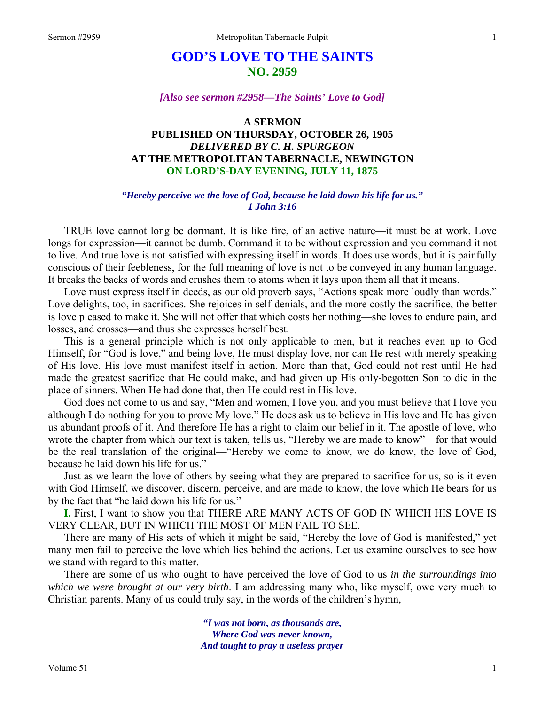# **GOD'S LOVE TO THE SAINTS NO. 2959**

#### *[Also see sermon #2958—The Saints' Love to God]*

### **A SERMON PUBLISHED ON THURSDAY, OCTOBER 26, 1905**  *DELIVERED BY C. H. SPURGEON*  **AT THE METROPOLITAN TABERNACLE, NEWINGTON ON LORD'S-DAY EVENING, JULY 11, 1875**

#### *"Hereby perceive we the love of God, because he laid down his life for us." 1 John 3:16*

TRUE love cannot long be dormant. It is like fire, of an active nature—it must be at work. Love longs for expression—it cannot be dumb. Command it to be without expression and you command it not to live. And true love is not satisfied with expressing itself in words. It does use words, but it is painfully conscious of their feebleness, for the full meaning of love is not to be conveyed in any human language. It breaks the backs of words and crushes them to atoms when it lays upon them all that it means.

Love must express itself in deeds, as our old proverb says, "Actions speak more loudly than words." Love delights, too, in sacrifices. She rejoices in self-denials, and the more costly the sacrifice, the better is love pleased to make it. She will not offer that which costs her nothing—she loves to endure pain, and losses, and crosses—and thus she expresses herself best.

 This is a general principle which is not only applicable to men, but it reaches even up to God Himself, for "God is love," and being love, He must display love, nor can He rest with merely speaking of His love. His love must manifest itself in action. More than that, God could not rest until He had made the greatest sacrifice that He could make, and had given up His only-begotten Son to die in the place of sinners. When He had done that, then He could rest in His love.

 God does not come to us and say, "Men and women, I love you, and you must believe that I love you although I do nothing for you to prove My love." He does ask us to believe in His love and He has given us abundant proofs of it. And therefore He has a right to claim our belief in it. The apostle of love, who wrote the chapter from which our text is taken, tells us, "Hereby we are made to know"—for that would be the real translation of the original—"Hereby we come to know, we do know, the love of God, because he laid down his life for us."

 Just as we learn the love of others by seeing what they are prepared to sacrifice for us, so is it even with God Himself, we discover, discern, perceive, and are made to know, the love which He bears for us by the fact that "he laid down his life for us."

**I.** First, I want to show you that THERE ARE MANY ACTS OF GOD IN WHICH HIS LOVE IS VERY CLEAR, BUT IN WHICH THE MOST OF MEN FAIL TO SEE.

 There are many of His acts of which it might be said, "Hereby the love of God is manifested," yet many men fail to perceive the love which lies behind the actions. Let us examine ourselves to see how we stand with regard to this matter.

 There are some of us who ought to have perceived the love of God to us *in the surroundings into which we were brought at our very birth*. I am addressing many who, like myself, owe very much to Christian parents. Many of us could truly say, in the words of the children's hymn,—

> *"I was not born, as thousands are, Where God was never known, And taught to pray a useless prayer*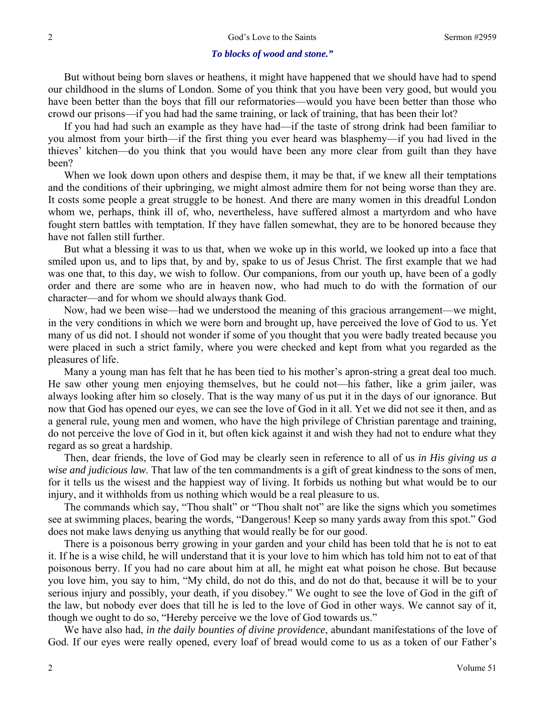#### *To blocks of wood and stone."*

 But without being born slaves or heathens, it might have happened that we should have had to spend our childhood in the slums of London. Some of you think that you have been very good, but would you have been better than the boys that fill our reformatories—would you have been better than those who crowd our prisons—if you had had the same training, or lack of training, that has been their lot?

 If you had had such an example as they have had—if the taste of strong drink had been familiar to you almost from your birth—if the first thing you ever heard was blasphemy—if you had lived in the thieves' kitchen—do you think that you would have been any more clear from guilt than they have been?

 When we look down upon others and despise them, it may be that, if we knew all their temptations and the conditions of their upbringing, we might almost admire them for not being worse than they are. It costs some people a great struggle to be honest. And there are many women in this dreadful London whom we, perhaps, think ill of, who, nevertheless, have suffered almost a martyrdom and who have fought stern battles with temptation. If they have fallen somewhat, they are to be honored because they have not fallen still further.

 But what a blessing it was to us that, when we woke up in this world, we looked up into a face that smiled upon us, and to lips that, by and by, spake to us of Jesus Christ. The first example that we had was one that, to this day, we wish to follow. Our companions, from our youth up, have been of a godly order and there are some who are in heaven now, who had much to do with the formation of our character—and for whom we should always thank God.

 Now, had we been wise—had we understood the meaning of this gracious arrangement—we might, in the very conditions in which we were born and brought up, have perceived the love of God to us. Yet many of us did not. I should not wonder if some of you thought that you were badly treated because you were placed in such a strict family, where you were checked and kept from what you regarded as the pleasures of life.

 Many a young man has felt that he has been tied to his mother's apron-string a great deal too much. He saw other young men enjoying themselves, but he could not—his father, like a grim jailer, was always looking after him so closely. That is the way many of us put it in the days of our ignorance. But now that God has opened our eyes, we can see the love of God in it all. Yet we did not see it then, and as a general rule, young men and women, who have the high privilege of Christian parentage and training, do not perceive the love of God in it, but often kick against it and wish they had not to endure what they regard as so great a hardship.

 Then, dear friends, the love of God may be clearly seen in reference to all of us *in His giving us a wise and judicious law*. That law of the ten commandments is a gift of great kindness to the sons of men, for it tells us the wisest and the happiest way of living. It forbids us nothing but what would be to our injury, and it withholds from us nothing which would be a real pleasure to us.

 The commands which say, "Thou shalt" or "Thou shalt not" are like the signs which you sometimes see at swimming places, bearing the words, "Dangerous! Keep so many yards away from this spot." God does not make laws denying us anything that would really be for our good.

 There is a poisonous berry growing in your garden and your child has been told that he is not to eat it. If he is a wise child, he will understand that it is your love to him which has told him not to eat of that poisonous berry. If you had no care about him at all, he might eat what poison he chose. But because you love him, you say to him, "My child, do not do this, and do not do that, because it will be to your serious injury and possibly, your death, if you disobey." We ought to see the love of God in the gift of the law, but nobody ever does that till he is led to the love of God in other ways. We cannot say of it, though we ought to do so, "Hereby perceive we the love of God towards us."

 We have also had, *in the daily bounties of divine providence*, abundant manifestations of the love of God. If our eyes were really opened, every loaf of bread would come to us as a token of our Father's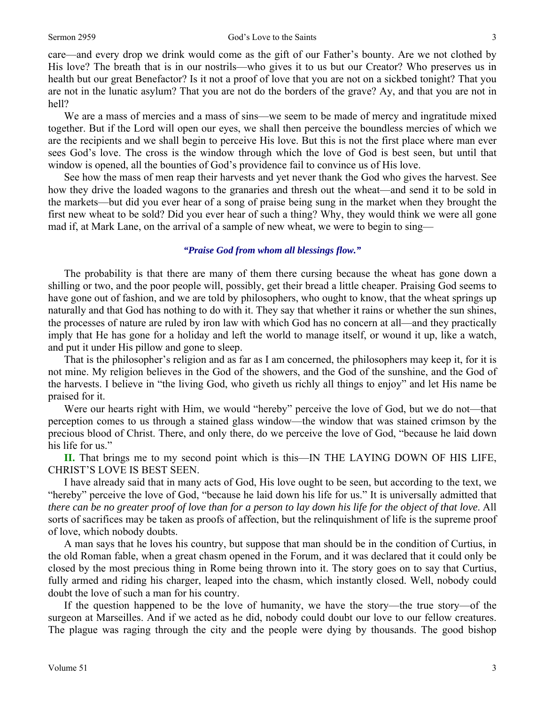#### Sermon 2959 God's Love to the Saints 3

care—and every drop we drink would come as the gift of our Father's bounty. Are we not clothed by His love? The breath that is in our nostrils—who gives it to us but our Creator? Who preserves us in health but our great Benefactor? Is it not a proof of love that you are not on a sickbed tonight? That you are not in the lunatic asylum? That you are not do the borders of the grave? Ay, and that you are not in hell?

We are a mass of mercies and a mass of sins—we seem to be made of mercy and ingratitude mixed together. But if the Lord will open our eyes, we shall then perceive the boundless mercies of which we are the recipients and we shall begin to perceive His love. But this is not the first place where man ever sees God's love. The cross is the window through which the love of God is best seen, but until that window is opened, all the bounties of God's providence fail to convince us of His love.

 See how the mass of men reap their harvests and yet never thank the God who gives the harvest. See how they drive the loaded wagons to the granaries and thresh out the wheat—and send it to be sold in the markets—but did you ever hear of a song of praise being sung in the market when they brought the first new wheat to be sold? Did you ever hear of such a thing? Why, they would think we were all gone mad if, at Mark Lane, on the arrival of a sample of new wheat, we were to begin to sing—

#### *"Praise God from whom all blessings flow."*

 The probability is that there are many of them there cursing because the wheat has gone down a shilling or two, and the poor people will, possibly, get their bread a little cheaper. Praising God seems to have gone out of fashion, and we are told by philosophers, who ought to know, that the wheat springs up naturally and that God has nothing to do with it. They say that whether it rains or whether the sun shines, the processes of nature are ruled by iron law with which God has no concern at all—and they practically imply that He has gone for a holiday and left the world to manage itself, or wound it up, like a watch, and put it under His pillow and gone to sleep.

 That is the philosopher's religion and as far as I am concerned, the philosophers may keep it, for it is not mine. My religion believes in the God of the showers, and the God of the sunshine, and the God of the harvests. I believe in "the living God, who giveth us richly all things to enjoy" and let His name be praised for it.

 Were our hearts right with Him, we would "hereby" perceive the love of God, but we do not—that perception comes to us through a stained glass window—the window that was stained crimson by the precious blood of Christ. There, and only there, do we perceive the love of God, "because he laid down his life for us."

**II.** That brings me to my second point which is this—IN THE LAYING DOWN OF HIS LIFE, CHRIST'S LOVE IS BEST SEEN.

 I have already said that in many acts of God, His love ought to be seen, but according to the text, we "hereby" perceive the love of God, "because he laid down his life for us." It is universally admitted that *there can be no greater proof of love than for a person to lay down his life for the object of that love*. All sorts of sacrifices may be taken as proofs of affection, but the relinquishment of life is the supreme proof of love, which nobody doubts.

 A man says that he loves his country, but suppose that man should be in the condition of Curtius, in the old Roman fable, when a great chasm opened in the Forum, and it was declared that it could only be closed by the most precious thing in Rome being thrown into it. The story goes on to say that Curtius, fully armed and riding his charger, leaped into the chasm, which instantly closed. Well, nobody could doubt the love of such a man for his country.

 If the question happened to be the love of humanity, we have the story—the true story—of the surgeon at Marseilles. And if we acted as he did, nobody could doubt our love to our fellow creatures. The plague was raging through the city and the people were dying by thousands. The good bishop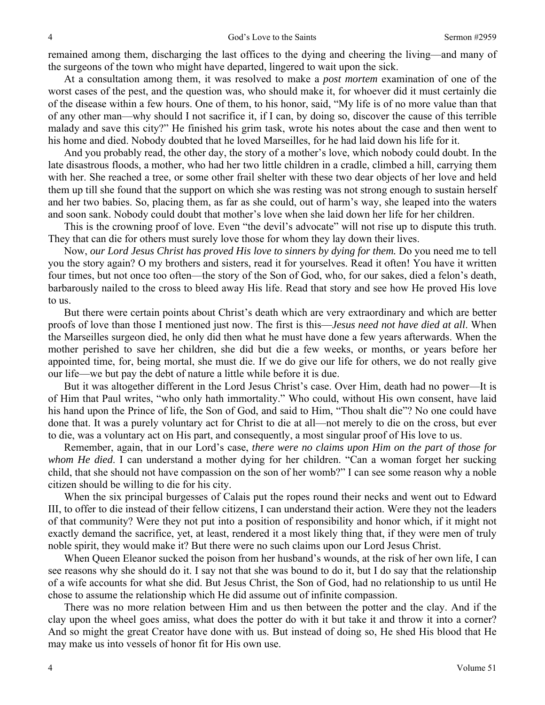remained among them, discharging the last offices to the dying and cheering the living—and many of the surgeons of the town who might have departed, lingered to wait upon the sick.

 At a consultation among them, it was resolved to make a *post mortem* examination of one of the worst cases of the pest, and the question was, who should make it, for whoever did it must certainly die of the disease within a few hours. One of them, to his honor, said, "My life is of no more value than that of any other man—why should I not sacrifice it, if I can, by doing so, discover the cause of this terrible malady and save this city?" He finished his grim task, wrote his notes about the case and then went to his home and died. Nobody doubted that he loved Marseilles, for he had laid down his life for it.

 And you probably read, the other day, the story of a mother's love, which nobody could doubt. In the late disastrous floods, a mother, who had her two little children in a cradle, climbed a hill, carrying them with her. She reached a tree, or some other frail shelter with these two dear objects of her love and held them up till she found that the support on which she was resting was not strong enough to sustain herself and her two babies. So, placing them, as far as she could, out of harm's way, she leaped into the waters and soon sank. Nobody could doubt that mother's love when she laid down her life for her children.

 This is the crowning proof of love. Even "the devil's advocate" will not rise up to dispute this truth. They that can die for others must surely love those for whom they lay down their lives.

 Now, *our Lord Jesus Christ has proved His love to sinners by dying for them.* Do you need me to tell you the story again? O my brothers and sisters, read it for yourselves. Read it often! You have it written four times, but not once too often—the story of the Son of God, who, for our sakes, died a felon's death, barbarously nailed to the cross to bleed away His life. Read that story and see how He proved His love to us.

 But there were certain points about Christ's death which are very extraordinary and which are better proofs of love than those I mentioned just now. The first is this—*Jesus need not have died at all*. When the Marseilles surgeon died, he only did then what he must have done a few years afterwards. When the mother perished to save her children, she did but die a few weeks, or months, or years before her appointed time, for, being mortal, she must die. If we do give our life for others, we do not really give our life—we but pay the debt of nature a little while before it is due.

 But it was altogether different in the Lord Jesus Christ's case. Over Him, death had no power—It is of Him that Paul writes, "who only hath immortality." Who could, without His own consent, have laid his hand upon the Prince of life, the Son of God, and said to Him, "Thou shalt die"? No one could have done that. It was a purely voluntary act for Christ to die at all—not merely to die on the cross, but ever to die, was a voluntary act on His part, and consequently, a most singular proof of His love to us.

 Remember, again, that in our Lord's case, *there were no claims upon Him on the part of those for whom He died*. I can understand a mother dying for her children. "Can a woman forget her sucking child, that she should not have compassion on the son of her womb?" I can see some reason why a noble citizen should be willing to die for his city.

 When the six principal burgesses of Calais put the ropes round their necks and went out to Edward III, to offer to die instead of their fellow citizens, I can understand their action. Were they not the leaders of that community? Were they not put into a position of responsibility and honor which, if it might not exactly demand the sacrifice, yet, at least, rendered it a most likely thing that, if they were men of truly noble spirit, they would make it? But there were no such claims upon our Lord Jesus Christ.

 When Queen Eleanor sucked the poison from her husband's wounds, at the risk of her own life, I can see reasons why she should do it. I say not that she was bound to do it, but I do say that the relationship of a wife accounts for what she did. But Jesus Christ, the Son of God, had no relationship to us until He chose to assume the relationship which He did assume out of infinite compassion.

 There was no more relation between Him and us then between the potter and the clay. And if the clay upon the wheel goes amiss, what does the potter do with it but take it and throw it into a corner? And so might the great Creator have done with us. But instead of doing so, He shed His blood that He may make us into vessels of honor fit for His own use.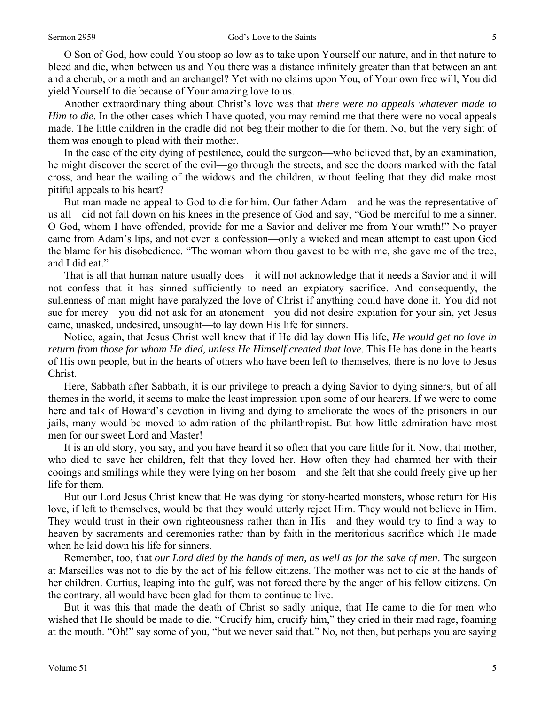O Son of God, how could You stoop so low as to take upon Yourself our nature, and in that nature to bleed and die, when between us and You there was a distance infinitely greater than that between an ant and a cherub, or a moth and an archangel? Yet with no claims upon You, of Your own free will, You did yield Yourself to die because of Your amazing love to us.

 Another extraordinary thing about Christ's love was that *there were no appeals whatever made to Him to die*. In the other cases which I have quoted, you may remind me that there were no vocal appeals made. The little children in the cradle did not beg their mother to die for them. No, but the very sight of them was enough to plead with their mother.

 In the case of the city dying of pestilence, could the surgeon—who believed that, by an examination, he might discover the secret of the evil—go through the streets, and see the doors marked with the fatal cross, and hear the wailing of the widows and the children, without feeling that they did make most pitiful appeals to his heart?

 But man made no appeal to God to die for him. Our father Adam—and he was the representative of us all—did not fall down on his knees in the presence of God and say, "God be merciful to me a sinner. O God, whom I have offended, provide for me a Savior and deliver me from Your wrath!" No prayer came from Adam's lips, and not even a confession—only a wicked and mean attempt to cast upon God the blame for his disobedience. "The woman whom thou gavest to be with me, she gave me of the tree, and I did eat."

 That is all that human nature usually does—it will not acknowledge that it needs a Savior and it will not confess that it has sinned sufficiently to need an expiatory sacrifice. And consequently, the sullenness of man might have paralyzed the love of Christ if anything could have done it. You did not sue for mercy—you did not ask for an atonement—you did not desire expiation for your sin, yet Jesus came, unasked, undesired, unsought—to lay down His life for sinners.

 Notice, again, that Jesus Christ well knew that if He did lay down His life, *He would get no love in return from those for whom He died, unless He Himself created that love*. This He has done in the hearts of His own people, but in the hearts of others who have been left to themselves, there is no love to Jesus Christ.

 Here, Sabbath after Sabbath, it is our privilege to preach a dying Savior to dying sinners, but of all themes in the world, it seems to make the least impression upon some of our hearers. If we were to come here and talk of Howard's devotion in living and dying to ameliorate the woes of the prisoners in our jails, many would be moved to admiration of the philanthropist. But how little admiration have most men for our sweet Lord and Master!

 It is an old story, you say, and you have heard it so often that you care little for it. Now, that mother, who died to save her children, felt that they loved her. How often they had charmed her with their cooings and smilings while they were lying on her bosom—and she felt that she could freely give up her life for them.

 But our Lord Jesus Christ knew that He was dying for stony-hearted monsters, whose return for His love, if left to themselves, would be that they would utterly reject Him. They would not believe in Him. They would trust in their own righteousness rather than in His—and they would try to find a way to heaven by sacraments and ceremonies rather than by faith in the meritorious sacrifice which He made when he laid down his life for sinners.

 Remember, too, that *our Lord died by the hands of men, as well as for the sake of men*. The surgeon at Marseilles was not to die by the act of his fellow citizens. The mother was not to die at the hands of her children. Curtius, leaping into the gulf, was not forced there by the anger of his fellow citizens. On the contrary, all would have been glad for them to continue to live.

 But it was this that made the death of Christ so sadly unique, that He came to die for men who wished that He should be made to die. "Crucify him, crucify him," they cried in their mad rage, foaming at the mouth. "Oh!" say some of you, "but we never said that." No, not then, but perhaps you are saying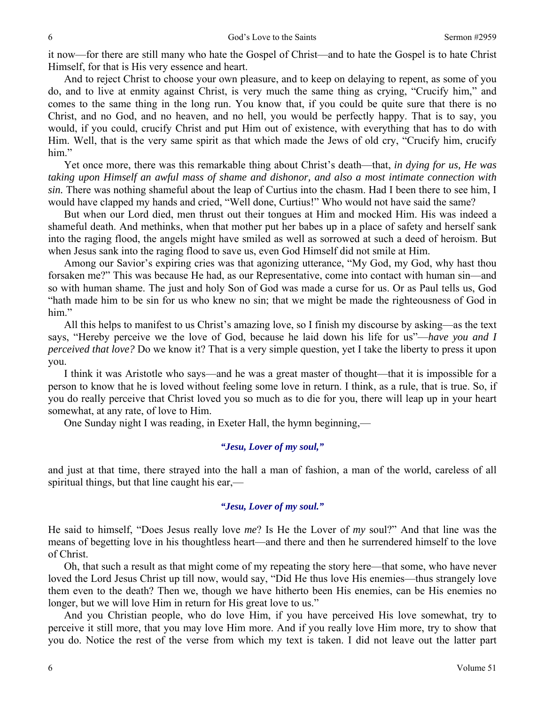it now—for there are still many who hate the Gospel of Christ—and to hate the Gospel is to hate Christ Himself, for that is His very essence and heart.

 And to reject Christ to choose your own pleasure, and to keep on delaying to repent, as some of you do, and to live at enmity against Christ, is very much the same thing as crying, "Crucify him," and comes to the same thing in the long run. You know that, if you could be quite sure that there is no Christ, and no God, and no heaven, and no hell, you would be perfectly happy. That is to say, you would, if you could, crucify Christ and put Him out of existence, with everything that has to do with Him. Well, that is the very same spirit as that which made the Jews of old cry, "Crucify him, crucify him."

 Yet once more, there was this remarkable thing about Christ's death—that, *in dying for us, He was taking upon Himself an awful mass of shame and dishonor, and also a most intimate connection with sin.* There was nothing shameful about the leap of Curtius into the chasm. Had I been there to see him, I would have clapped my hands and cried, "Well done, Curtius!" Who would not have said the same?

 But when our Lord died, men thrust out their tongues at Him and mocked Him. His was indeed a shameful death. And methinks, when that mother put her babes up in a place of safety and herself sank into the raging flood, the angels might have smiled as well as sorrowed at such a deed of heroism. But when Jesus sank into the raging flood to save us, even God Himself did not smile at Him.

 Among our Savior's expiring cries was that agonizing utterance, "My God, my God, why hast thou forsaken me?" This was because He had, as our Representative, come into contact with human sin—and so with human shame. The just and holy Son of God was made a curse for us. Or as Paul tells us, God "hath made him to be sin for us who knew no sin; that we might be made the righteousness of God in him."

 All this helps to manifest to us Christ's amazing love, so I finish my discourse by asking—as the text says, "Hereby perceive we the love of God, because he laid down his life for us"—*have you and I perceived that love?* Do we know it? That is a very simple question, yet I take the liberty to press it upon you.

 I think it was Aristotle who says—and he was a great master of thought—that it is impossible for a person to know that he is loved without feeling some love in return. I think, as a rule, that is true. So, if you do really perceive that Christ loved you so much as to die for you, there will leap up in your heart somewhat, at any rate, of love to Him.

One Sunday night I was reading, in Exeter Hall, the hymn beginning,—

#### *"Jesu, Lover of my soul,"*

and just at that time, there strayed into the hall a man of fashion, a man of the world, careless of all spiritual things, but that line caught his ear,—

### *"Jesu, Lover of my soul."*

He said to himself, "Does Jesus really love *me*? Is He the Lover of *my* soul?" And that line was the means of begetting love in his thoughtless heart—and there and then he surrendered himself to the love of Christ.

 Oh, that such a result as that might come of my repeating the story here—that some, who have never loved the Lord Jesus Christ up till now, would say, "Did He thus love His enemies—thus strangely love them even to the death? Then we, though we have hitherto been His enemies, can be His enemies no longer, but we will love Him in return for His great love to us."

 And you Christian people, who do love Him, if you have perceived His love somewhat, try to perceive it still more, that you may love Him more. And if you really love Him more, try to show that you do. Notice the rest of the verse from which my text is taken. I did not leave out the latter part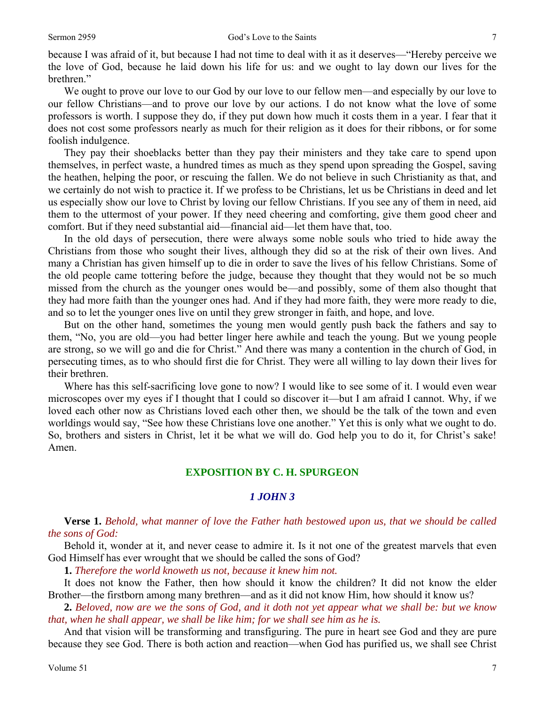because I was afraid of it, but because I had not time to deal with it as it deserves—"Hereby perceive we the love of God, because he laid down his life for us: and we ought to lay down our lives for the brethren."

 We ought to prove our love to our God by our love to our fellow men—and especially by our love to our fellow Christians—and to prove our love by our actions. I do not know what the love of some professors is worth. I suppose they do, if they put down how much it costs them in a year. I fear that it does not cost some professors nearly as much for their religion as it does for their ribbons, or for some foolish indulgence.

 They pay their shoeblacks better than they pay their ministers and they take care to spend upon themselves, in perfect waste, a hundred times as much as they spend upon spreading the Gospel, saving the heathen, helping the poor, or rescuing the fallen. We do not believe in such Christianity as that, and we certainly do not wish to practice it. If we profess to be Christians, let us be Christians in deed and let us especially show our love to Christ by loving our fellow Christians. If you see any of them in need, aid them to the uttermost of your power. If they need cheering and comforting, give them good cheer and comfort. But if they need substantial aid—financial aid—let them have that, too.

 In the old days of persecution, there were always some noble souls who tried to hide away the Christians from those who sought their lives, although they did so at the risk of their own lives. And many a Christian has given himself up to die in order to save the lives of his fellow Christians. Some of the old people came tottering before the judge, because they thought that they would not be so much missed from the church as the younger ones would be—and possibly, some of them also thought that they had more faith than the younger ones had. And if they had more faith, they were more ready to die, and so to let the younger ones live on until they grew stronger in faith, and hope, and love.

 But on the other hand, sometimes the young men would gently push back the fathers and say to them, "No, you are old—you had better linger here awhile and teach the young. But we young people are strong, so we will go and die for Christ." And there was many a contention in the church of God, in persecuting times, as to who should first die for Christ. They were all willing to lay down their lives for their brethren.

 Where has this self-sacrificing love gone to now? I would like to see some of it. I would even wear microscopes over my eyes if I thought that I could so discover it—but I am afraid I cannot. Why, if we loved each other now as Christians loved each other then, we should be the talk of the town and even worldings would say, "See how these Christians love one another." Yet this is only what we ought to do. So, brothers and sisters in Christ, let it be what we will do. God help you to do it, for Christ's sake! Amen.

### **EXPOSITION BY C. H. SPURGEON**

### *1 JOHN 3*

#### **Verse 1.** *Behold, what manner of love the Father hath bestowed upon us, that we should be called the sons of God:*

Behold it, wonder at it, and never cease to admire it. Is it not one of the greatest marvels that even God Himself has ever wrought that we should be called the sons of God?

**1.** *Therefore the world knoweth us not, because it knew him not.* 

It does not know the Father, then how should it know the children? It did not know the elder Brother—the firstborn among many brethren—and as it did not know Him, how should it know us?

**2.** *Beloved, now are we the sons of God, and it doth not yet appear what we shall be: but we know that, when he shall appear, we shall be like him; for we shall see him as he is.* 

And that vision will be transforming and transfiguring. The pure in heart see God and they are pure because they see God. There is both action and reaction—when God has purified us, we shall see Christ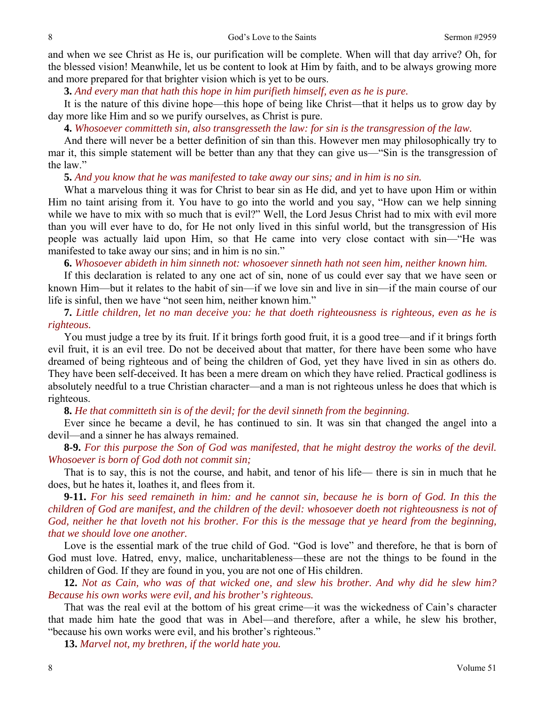and when we see Christ as He is, our purification will be complete. When will that day arrive? Oh, for the blessed vision! Meanwhile, let us be content to look at Him by faith, and to be always growing more and more prepared for that brighter vision which is yet to be ours.

**3.** *And every man that hath this hope in him purifieth himself, even as he is pure.* 

It is the nature of this divine hope—this hope of being like Christ—that it helps us to grow day by day more like Him and so we purify ourselves, as Christ is pure.

 **4.** *Whosoever committeth sin, also transgresseth the law: for sin is the transgression of the law.* 

And there will never be a better definition of sin than this. However men may philosophically try to mar it, this simple statement will be better than any that they can give us—"Sin is the transgression of the law."

**5.** *And you know that he was manifested to take away our sins; and in him is no sin.* 

What a marvelous thing it was for Christ to bear sin as He did, and yet to have upon Him or within Him no taint arising from it. You have to go into the world and you say, "How can we help sinning while we have to mix with so much that is evil?" Well, the Lord Jesus Christ had to mix with evil more than you will ever have to do, for He not only lived in this sinful world, but the transgression of His people was actually laid upon Him, so that He came into very close contact with sin—"He was manifested to take away our sins; and in him is no sin."

**6.** *Whosoever abideth in him sinneth not: whosoever sinneth hath not seen him, neither known him.* 

If this declaration is related to any one act of sin, none of us could ever say that we have seen or known Him—but it relates to the habit of sin—if we love sin and live in sin—if the main course of our life is sinful, then we have "not seen him, neither known him."

**7.** *Little children, let no man deceive you: he that doeth righteousness is righteous, even as he is righteous.* 

You must judge a tree by its fruit. If it brings forth good fruit, it is a good tree—and if it brings forth evil fruit, it is an evil tree. Do not be deceived about that matter, for there have been some who have dreamed of being righteous and of being the children of God, yet they have lived in sin as others do. They have been self-deceived. It has been a mere dream on which they have relied. Practical godliness is absolutely needful to a true Christian character—and a man is not righteous unless he does that which is righteous.

**8.** *He that committeth sin is of the devil; for the devil sinneth from the beginning.* 

Ever since he became a devil, he has continued to sin. It was sin that changed the angel into a devil—and a sinner he has always remained.

**8-9.** *For this purpose the Son of God was manifested, that he might destroy the works of the devil. Whosoever is born of God doth not commit sin;* 

That is to say, this is not the course, and habit, and tenor of his life— there is sin in much that he does, but he hates it, loathes it, and flees from it.

**9-11.** *For his seed remaineth in him: and he cannot sin, because he is born of God. In this the children of God are manifest, and the children of the devil: whosoever doeth not righteousness is not of God, neither he that loveth not his brother. For this is the message that ye heard from the beginning, that we should love one another.* 

Love is the essential mark of the true child of God. "God is love" and therefore, he that is born of God must love. Hatred, envy, malice, uncharitableness—these are not the things to be found in the children of God. If they are found in you, you are not one of His children.

**12.** *Not as Cain, who was of that wicked one, and slew his brother. And why did he slew him? Because his own works were evil, and his brother's righteous.* 

That was the real evil at the bottom of his great crime—it was the wickedness of Cain's character that made him hate the good that was in Abel—and therefore, after a while, he slew his brother, "because his own works were evil, and his brother's righteous."

**13.** *Marvel not, my brethren, if the world hate you.*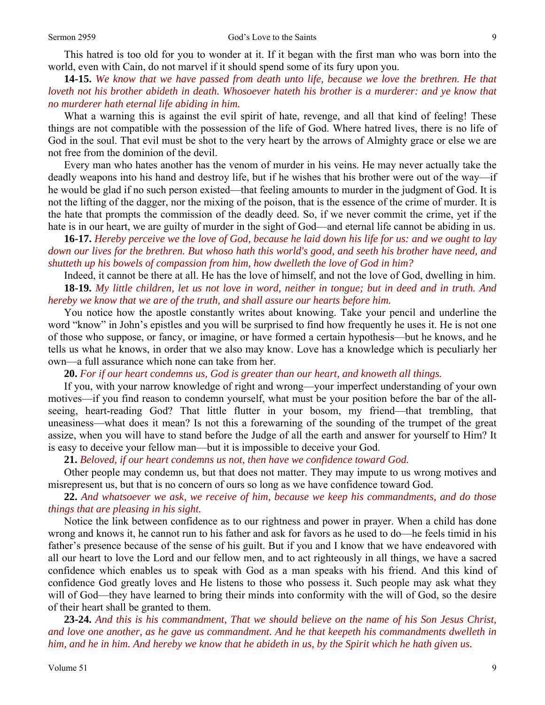This hatred is too old for you to wonder at it. If it began with the first man who was born into the world, even with Cain, do not marvel if it should spend some of its fury upon you.

**14-15.** *We know that we have passed from death unto life, because we love the brethren. He that loveth not his brother abideth in death. Whosoever hateth his brother is a murderer: and ye know that no murderer hath eternal life abiding in him.* 

What a warning this is against the evil spirit of hate, revenge, and all that kind of feeling! These things are not compatible with the possession of the life of God. Where hatred lives, there is no life of God in the soul. That evil must be shot to the very heart by the arrows of Almighty grace or else we are not free from the dominion of the devil.

 Every man who hates another has the venom of murder in his veins. He may never actually take the deadly weapons into his hand and destroy life, but if he wishes that his brother were out of the way—if he would be glad if no such person existed—that feeling amounts to murder in the judgment of God. It is not the lifting of the dagger, nor the mixing of the poison, that is the essence of the crime of murder. It is the hate that prompts the commission of the deadly deed. So, if we never commit the crime, yet if the hate is in our heart, we are guilty of murder in the sight of God—and eternal life cannot be abiding in us.

**16-17.** *Hereby perceive we the love of God, because he laid down his life for us: and we ought to lay down our lives for the brethren. But whoso hath this world's good, and seeth his brother have need, and shutteth up his bowels of compassion from him, how dwelleth the love of God in him?* 

Indeed, it cannot be there at all. He has the love of himself, and not the love of God, dwelling in him. **18-19.** *My little children, let us not love in word, neither in tongue; but in deed and in truth. And hereby we know that we are of the truth, and shall assure our hearts before him.* 

You notice how the apostle constantly writes about knowing. Take your pencil and underline the word "know" in John's epistles and you will be surprised to find how frequently he uses it. He is not one of those who suppose, or fancy, or imagine, or have formed a certain hypothesis—but he knows, and he tells us what he knows, in order that we also may know. Love has a knowledge which is peculiarly her own—a full assurance which none can take from her.

**20.** *For if our heart condemns us, God is greater than our heart, and knoweth all things.* 

If you, with your narrow knowledge of right and wrong—your imperfect understanding of your own motives—if you find reason to condemn yourself, what must be your position before the bar of the allseeing, heart-reading God? That little flutter in your bosom, my friend—that trembling, that uneasiness—what does it mean? Is not this a forewarning of the sounding of the trumpet of the great assize, when you will have to stand before the Judge of all the earth and answer for yourself to Him? It is easy to deceive your fellow man—but it is impossible to deceive your God.

**21.** *Beloved, if our heart condemns us not, then have we confidence toward God.* 

Other people may condemn us, but that does not matter. They may impute to us wrong motives and misrepresent us, but that is no concern of ours so long as we have confidence toward God.

**22.** *And whatsoever we ask, we receive of him, because we keep his commandments, and do those things that are pleasing in his sight.* 

Notice the link between confidence as to our rightness and power in prayer. When a child has done wrong and knows it, he cannot run to his father and ask for favors as he used to do—he feels timid in his father's presence because of the sense of his guilt. But if you and I know that we have endeavored with all our heart to love the Lord and our fellow men, and to act righteously in all things, we have a sacred confidence which enables us to speak with God as a man speaks with his friend. And this kind of confidence God greatly loves and He listens to those who possess it. Such people may ask what they will of God—they have learned to bring their minds into conformity with the will of God, so the desire of their heart shall be granted to them.

**23-24.** *And this is his commandment, That we should believe on the name of his Son Jesus Christ, and love one another, as he gave us commandment. And he that keepeth his commandments dwelleth in him, and he in him. And hereby we know that he abideth in us, by the Spirit which he hath given us.*